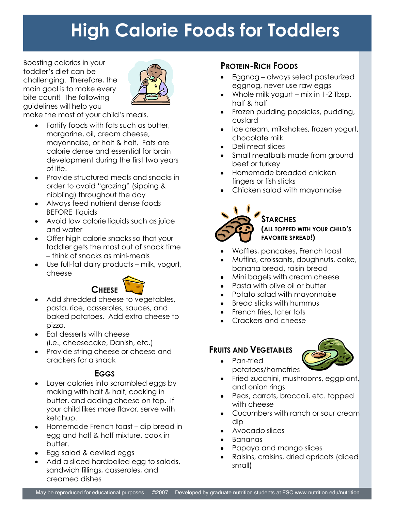# **High Calorie Foods for Toddlers**

Boosting calories in your toddler's diet can be challenging. Therefore, the main goal is to make every bite count! The following guidelines will help you



make the most of your child's meals.

- $\bullet$ Fortify foods with fats such as butter, margarine, oil, cream cheese, mayonnaise, or half & half. Fats are calorie dense and essential for brain development during the first two years of life.
- Provide structured meals and snacks in order to avoid "grazing" (sipping & nibbling) throughout the day
- Always feed nutrient dense foods  $\bullet$ BEFORE liquids
- Avoid low calorie liquids such as juice and water
- Offer high calorie snacks so that your toddler gets the most out of snack time – think of snacks as mini-meals
- Use full-fat dairy products milk, yogurt,  $\bullet$ cheese



- Add shredded cheese to vegetables, pasta, rice, casseroles, sauces, and baked potatoes. Add extra cheese to pizza.
- Eat desserts with cheese  $\bullet$ (i.e., cheesecake, Danish, etc.)
- Provide string cheese or cheese and crackers for a snack

## **EGGS**

- Layer calories into scrambled eggs by making with half & half, cooking in butter, and adding cheese on top. If your child likes more flavor, serve with ketchup.
- Homemade French toast dip bread in  $\bullet$ egg and half & half mixture, cook in butter.
- Egg salad & deviled eggs
- Add a sliced hardboiled egg to salads, sandwich fillings, casseroles, and creamed dishes

## **PROTEIN-RICH FOODS**

- Eggnog always select pasteurized eggnog, never use raw eggs
- Whole milk yogurt mix in 1-2 Tbsp. half & half
- Frozen pudding popsicles, pudding, custard
- Ice cream, milkshakes, frozen yogurt, chocolate milk
- Deli meat slices
- Small meatballs made from ground beef or turkey
- Homemade breaded chicken fingers or fish sticks
- Chicken salad with mayonnaise



#### **STARCHES (ALL TOPPED WITH YOUR CHILD'S FAVORITE SPREAD!)**

- Waffles, pancakes, French toast
- Muffins, croissants, doughnuts, cake, banana bread, raisin bread
- Mini bagels with cream cheese
- Pasta with olive oil or butter
- Potato salad with mayonnaise
- Bread sticks with hummus  $\bullet$
- French fries, tater tots
- Crackers and cheese

## **FRUITS AND VEGETABLES**



- $\bullet$ Pan-fried potatoes/homefries
	- Fried zucchini, mushrooms, eggplant, and onion rings
	- Peas, carrots, broccoli, etc. topped with cheese
	- Cucumbers with ranch or sour cream dip
	- Avocado slices
	- Bananas
- Papaya and mango slices
- Raisins, craisins, dried apricots (diced small)